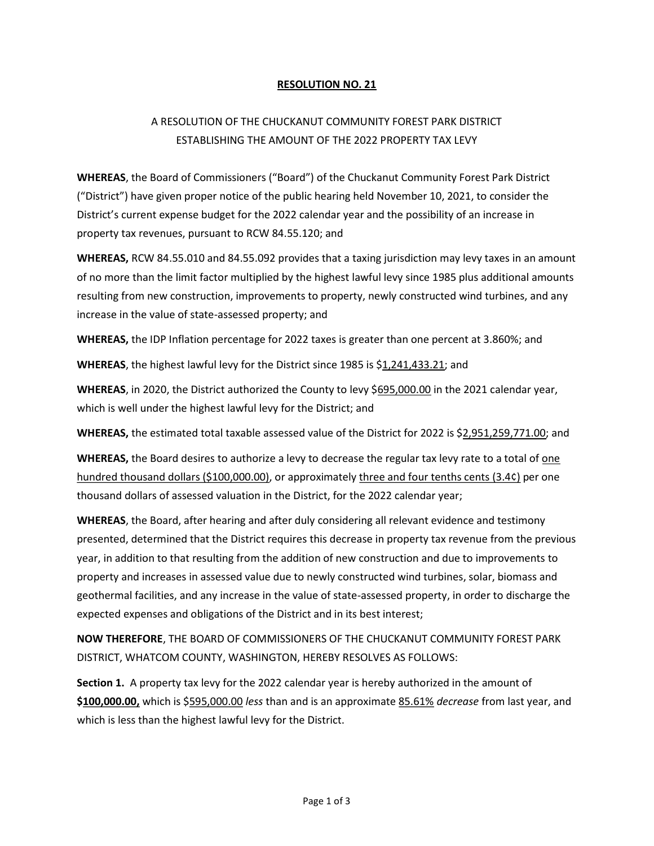## RESOLUTION NO. 21

## A RESOLUTION OF THE CHUCKANUT COMMUNITY FOREST PARK DISTRICT ESTABLISHING THE AMOUNT OF THE 2022 PROPERTY TAX LEVY

WHEREAS, the Board of Commissioners ("Board") of the Chuckanut Community Forest Park District ("District") have given proper notice of the public hearing held November 10, 2021, to consider the District's current expense budget for the 2022 calendar year and the possibility of an increase in property tax revenues, pursuant to RCW 84.55.120; and

WHEREAS, RCW 84.55.010 and 84.55.092 provides that a taxing jurisdiction may levy taxes in an amount of no more than the limit factor multiplied by the highest lawful levy since 1985 plus additional amounts resulting from new construction, improvements to property, newly constructed wind turbines, and any increase in the value of state-assessed property; and

WHEREAS, the IDP Inflation percentage for 2022 taxes is greater than one percent at 3.860%; and

WHEREAS, the highest lawful levy for the District since 1985 is \$1,241,433.21; and

WHEREAS, in 2020, the District authorized the County to levy \$695,000.00 in the 2021 calendar year, which is well under the highest lawful levy for the District; and

WHEREAS, the estimated total taxable assessed value of the District for 2022 is \$2,951,259,771.00; and

WHEREAS, the Board desires to authorize a levy to decrease the regular tax levy rate to a total of one hundred thousand dollars (\$100,000.00), or approximately three and four tenths cents (3.4¢) per one thousand dollars of assessed valuation in the District, for the 2022 calendar year;

WHEREAS, the Board, after hearing and after duly considering all relevant evidence and testimony presented, determined that the District requires this decrease in property tax revenue from the previous year, in addition to that resulting from the addition of new construction and due to improvements to property and increases in assessed value due to newly constructed wind turbines, solar, biomass and geothermal facilities, and any increase in the value of state-assessed property, in order to discharge the expected expenses and obligations of the District and in its best interest;

NOW THEREFORE, THE BOARD OF COMMISSIONERS OF THE CHUCKANUT COMMUNITY FOREST PARK DISTRICT, WHATCOM COUNTY, WASHINGTON, HEREBY RESOLVES AS FOLLOWS:

Section 1. A property tax levy for the 2022 calendar year is hereby authorized in the amount of \$100,000.00, which is \$595,000.00 less than and is an approximate 85.61% decrease from last year, and which is less than the highest lawful levy for the District.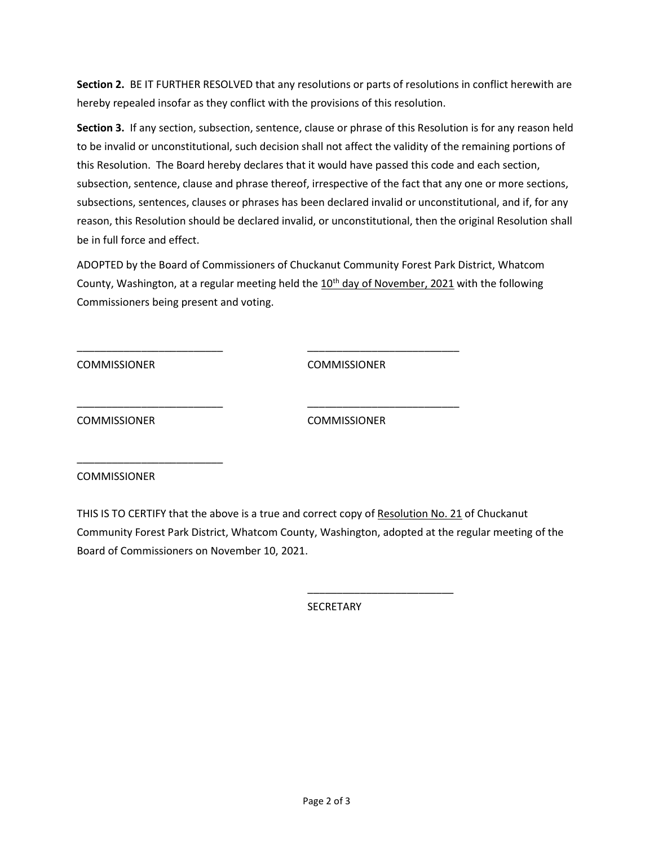Section 2. BE IT FURTHER RESOLVED that any resolutions or parts of resolutions in conflict herewith are hereby repealed insofar as they conflict with the provisions of this resolution.

Section 3. If any section, subsection, sentence, clause or phrase of this Resolution is for any reason held to be invalid or unconstitutional, such decision shall not affect the validity of the remaining portions of this Resolution. The Board hereby declares that it would have passed this code and each section, subsection, sentence, clause and phrase thereof, irrespective of the fact that any one or more sections, subsections, sentences, clauses or phrases has been declared invalid or unconstitutional, and if, for any reason, this Resolution should be declared invalid, or unconstitutional, then the original Resolution shall be in full force and effect.

ADOPTED by the Board of Commissioners of Chuckanut Community Forest Park District, Whatcom County, Washington, at a regular meeting held the 10<sup>th</sup> day of November, 2021 with the following Commissioners being present and voting.

\_\_\_\_\_\_\_\_\_\_\_\_\_\_\_\_\_\_\_\_\_\_\_\_\_ \_\_\_\_\_\_\_\_\_\_\_\_\_\_\_\_\_\_\_\_\_\_\_\_\_\_

\_\_\_\_\_\_\_\_\_\_\_\_\_\_\_\_\_\_\_\_\_\_\_\_\_ \_\_\_\_\_\_\_\_\_\_\_\_\_\_\_\_\_\_\_\_\_\_\_\_\_\_

 $\overline{\phantom{a}}$  , and the contract of the contract of the contract of the contract of the contract of the contract of the contract of the contract of the contract of the contract of the contract of the contract of the contrac

COMMISSIONER COMMISSIONER

COMMISSIONER COMMISSIONER

**COMMISSIONER** 

\_\_\_\_\_\_\_\_\_\_\_\_\_\_\_\_\_\_\_\_\_\_\_\_\_

THIS IS TO CERTIFY that the above is a true and correct copy of Resolution No. 21 of Chuckanut Community Forest Park District, Whatcom County, Washington, adopted at the regular meeting of the Board of Commissioners on November 10, 2021.

**SECRETARY**